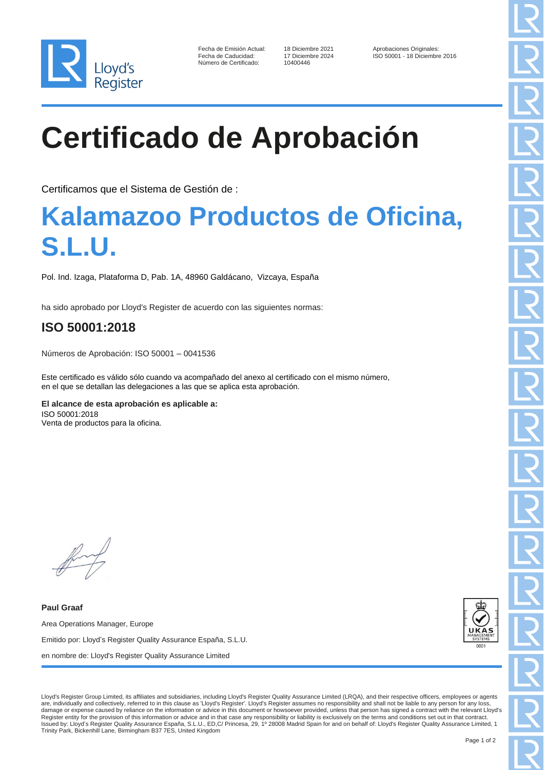

| Fecha de Emisión Actual: |
|--------------------------|
| Fecha de Caducidad:      |
| Número de Certificado:   |

10400446

Fecha de Diciembre 2021 Aprobaciones Originales:<br>17 Diciembre 2024 1SO 50001 - 18 Diciembre ISO 50001 - 18 Diciembre 2016

## **Certificado de Aprobación**

Certificamos que el Sistema de Gestión de :

## **Kalamazoo Productos de Oficina, S.L.U.**

Pol. Ind. Izaga, Plataforma D, Pab. 1A, 48960 Galdácano, Vizcaya, España

ha sido aprobado por Lloyd's Register de acuerdo con las siguientes normas:

## **ISO 50001:2018**

Números de Aprobación: ISO 50001 – 0041536

Este certificado es válido sólo cuando va acompañado del anexo al certificado con el mismo número, en el que se detallan las delegaciones a las que se aplica esta aprobación.

**El alcance de esta aprobación es aplicable a:** ISO 50001:2018 Venta de productos para la oficina.

**Paul Graaf** Area Operations Manager, Europe Emitido por: Lloyd's Register Quality Assurance España, S.L.U. en nombre de: Lloyd's Register Quality Assurance Limited



Lloyd's Register Group Limited, its affiliates and subsidiaries, including Lloyd's Register Quality Assurance Limited (LRQA), and their respective officers, employees or agents are, individually and collectively, referred to in this clause as 'Lloyd's Register'. Lloyd's Register assumes no responsibility and shall not be liable to any person for any loss, damage or expense caused by reliance on the information or advice in this document or howsoever provided, unless that person has signed a contract with the relevant Lloyd's Register entity for the provision of this information or advice and in that case any responsibility or liability is exclusively on the terms and conditions set out in that contract.<br>Issued by: Lloyd's Register Quality Assu Trinity Park, Bickenhill Lane, Birmingham B37 7ES, United Kingdom